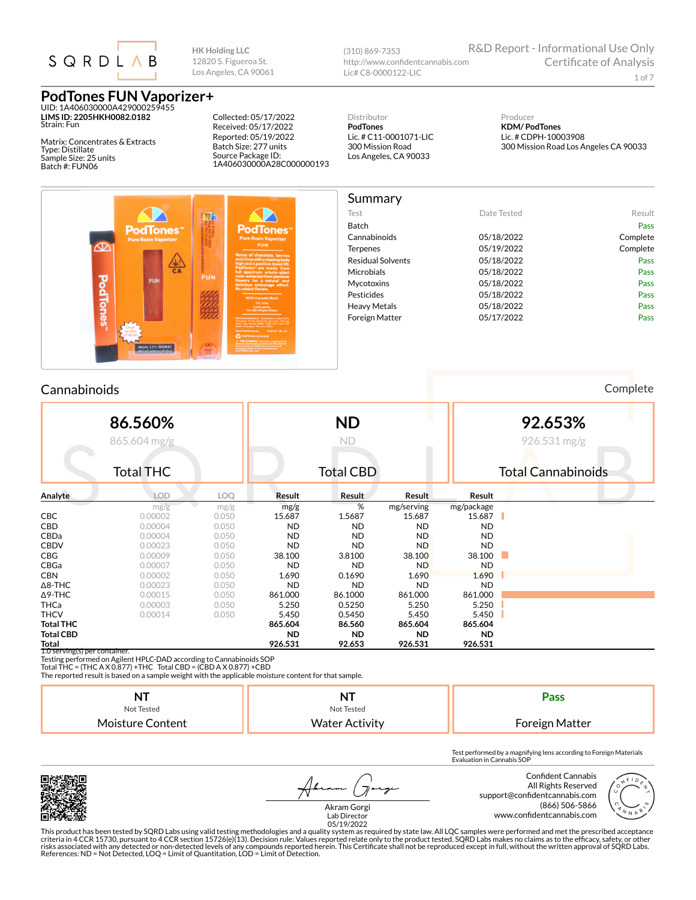

UID: 1A406030000A429000259455 **LIMS ID: 2205HKH0082.0182** Strain: Fun

Matrix: Concentrates & Extracts Type: Distillate Sample Size: 25 units Batch #: FUN06

Collected: 05/17/2022 Received: 05/17/2022 Reported: 05/19/2022 Batch Size: 277 units Source Package ID:

1A406030000A28C000000193

**HK Holding LLC** 12820 S. Figueroa St. Los Angeles, CA 90061

> Distributor **PodTones** Lic. # C11-0001071-LIC 300 Mission Road Los Angeles, CA 90033

http://www.confidentcannabis.com

(310) 869-7353

Lic# C8-0000122-LIC

Producer **KDM/ PodTones** Lic. # CDPH-10003908 300 Mission Road Los Angeles CA 90033

R&D Report - Informational Use Only



| Summary                  |             |          |
|--------------------------|-------------|----------|
| Test                     | Date Tested | Result   |
| <b>Batch</b>             |             | Pass     |
| Cannabinoids             | 05/18/2022  | Complete |
| <b>Terpenes</b>          | 05/19/2022  | Complete |
| <b>Residual Solvents</b> | 05/18/2022  | Pass     |
| <b>Microbials</b>        | 05/18/2022  | Pass     |
| Mycotoxins               | 05/18/2022  | Pass     |
| <b>Pesticides</b>        | 05/18/2022  | Pass     |
| <b>Heavy Metals</b>      | 05/18/2022  | Pass     |
| <b>Foreign Matter</b>    | 05/17/2022  | Pass     |

#### Cannabinoids Complete

**86.560%** 865.604 mg/g Total THC **ND** ND Total CBD **92.653%** 926.531 mg/g Total Cannabinoids **Analyte LOD LOQ Result Result Result Result** mg/g mg/g mg/g % mg/serving mg/package **CBC** 0.00002 0.050 **15.687 1.5687 15.687 15.687** CBD 0.00004 0.050 ND ND ND ND CBDa 0.00004 0.050 ND ND ND ND CBDV 0.00023 0.050 ND ND ND ND **CBG** 0.00009 0.050 **38.100 3.8100 38.100 38.100** 38.100 CBGa 0.00007 0.050 ND ND ND ND CBN 0.00002 0.050 1**.690 0.1690 1.690 1.690** Δ8-THC 0.00023 0.050 ND ND ND ND Δ9-THC 0.00015 0.050 861.000 86.1000 861.000 861.000 **THCa** 0.00003 0.050 5.250 0.5250 5.250 5.250 5.250 THCV 0.00014 0.050 5.450 0.5450 5.450 5.450 **Total THC 865.604 86.560 865.604 865.604 Total CBD ND ND ND ND Total 926.531 92.653 926.531 926.531** 1.0 serving(s) per container.

Testing performed on Agilent HPLC-DAD according to Cannabinoids SOP

Total THC = (THC A X 0.877) + THC Total CBD = (CBD A X 0.877) + CBD

The reported result is based on a sample weight with the applicable moisture content for that sample.

|                  |                       | Pass                  |
|------------------|-----------------------|-----------------------|
| Not Tested       | Not Tested            |                       |
| Moisture Content | <b>Water Activity</b> | <b>Foreign Matter</b> |

Test performed by a magnifying lens according to Foreign Materials Evaluation in Cannabis SOP



7



Akram Gorgi Lab Director 05/19/2022

This product has been tested by SQRD Labs using valid testing methodologies and a quality system as required by state law. All LQC samples were performed and met the prescribed acceptance<br>criteria in 4 CCR 15730, pursuant References: ND = Not Detected, LOQ = Limit of Quantitation, LOD = Limit of Detection.

Certificate of Analysis

1 of 7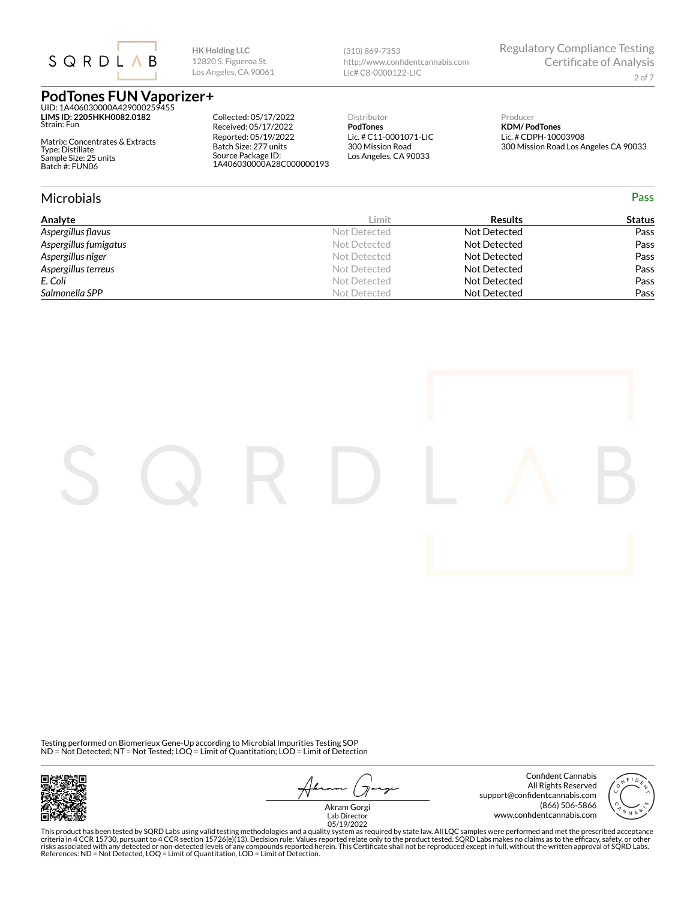

**LIMS ID: 2205HKH0082.0182** Strain: Fun

Matrix: Concentrates & Extracts Type: Distillate Sample Size: 25 units Batch #: FUN06

Collected: 05/17/2022 Received: 05/17/2022 Reported: 05/19/2022 Batch Size: 277 units Source Package ID:

1A406030000A28C000000193

**HK Holding LLC** 12820 S. Figueroa St. Los Angeles, CA 90061

> Distributor **PodTones** Lic. # C11-0001071-LIC 300 Mission Road

Los Angeles, CA 90033

http://www.confidentcannabis.com

(310) 869-7353

Lic# C8-0000122-LIC

Producer **KDM/ PodTones** 300 Mission Road Los Angeles CA 90033

Regulatory Compliance Testing

Certificate of Analysis

2 of 7

# Lic. # CDPH-10003908

| <b>Microbials</b>     |              |                | Pass          |
|-----------------------|--------------|----------------|---------------|
| Analyte               | Limit        | <b>Results</b> | <b>Status</b> |
| Aspergillus flavus    | Not Detected | Not Detected   | Pass          |
| Aspergillus fumigatus | Not Detected | Not Detected   | Pass          |
| Aspergillus niger     | Not Detected | Not Detected   | Pass          |
| Aspergillus terreus   | Not Detected | Not Detected   | Pass          |
| E. Coli               | Not Detected | Not Detected   | Pass          |
| Salmonella SPP        | Not Detected | Not Detected   | Pass          |



フ ァ

Confident Cannabis All Rights Reserved support@confidentcannabis.com (866) 506-5866

www.con×dentcannabis.com Lab Director 05/19/2022Akram Gorgi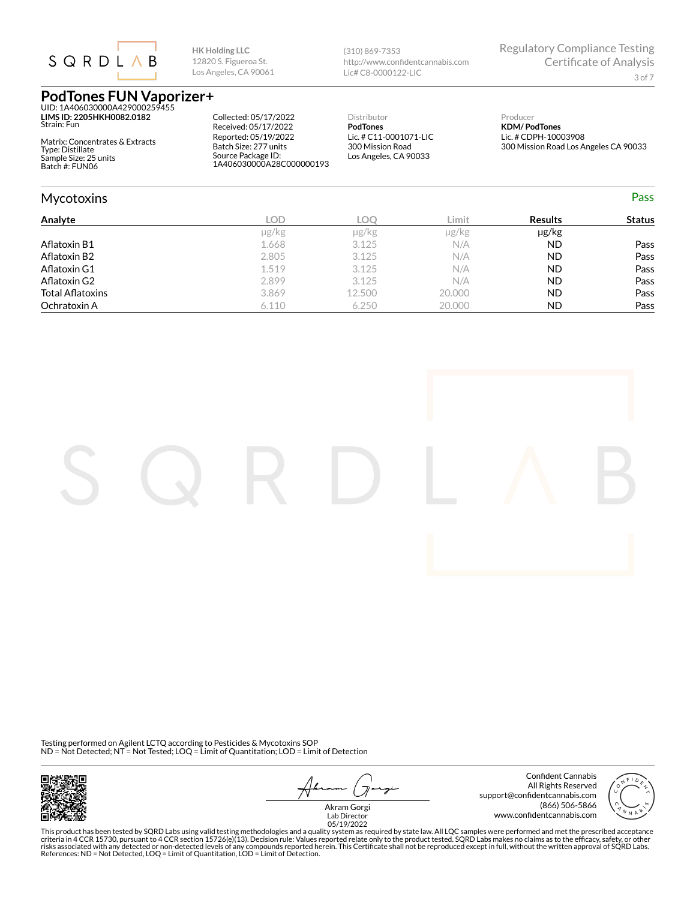

**LIMS ID: 2205HKH0082.0182** Strain: Fun

Matrix: Concentrates & Extracts Type: Distillate Sample Size: 25 units Batch #: FUN06

Collected: 05/17/2022 Received: 05/17/2022 Reported: 05/19/2022 Batch Size: 277 units Source Package ID: 1A406030000A28C000000193

**HK Holding LLC** 12820 S. Figueroa St. Los Angeles, CA 90061

> Distributor **PodTones** Lic. # C11-0001071-LIC 300 Mission Road Los Angeles, CA 90033

http://www.confidentcannabis.com

(310) 869-7353

Lic# C8-0000122-LIC

Producer **KDM/ PodTones** Lic. # CDPH-10003908 300 Mission Road Los Angeles CA 90033

Regulatory Compliance Testing

Certificate of Analysis

3 of 7

| <b>Mycotoxins</b>       |            |        |            |                | Pass          |
|-------------------------|------------|--------|------------|----------------|---------------|
| Analyte                 | LOD        | LOO    | Limit      | <b>Results</b> | <b>Status</b> |
|                         | $\mu$ g/kg | µg/kg  | $\mu$ g/kg | µg/kg          |               |
| Aflatoxin B1            | 1.668      | 3.125  | N/A        | <b>ND</b>      | Pass          |
| Aflatoxin B2            | 2.805      | 3.125  | N/A        | <b>ND</b>      | Pass          |
| Aflatoxin G1            | 1.519      | 3.125  | N/A        | <b>ND</b>      | Pass          |
| Aflatoxin G2            | 2.899      | 3.125  | N/A        | <b>ND</b>      | Pass          |
| <b>Total Aflatoxins</b> | 3.869      | 12.500 | 20,000     | <b>ND</b>      | Pass          |
| Ochratoxin A            | 6.110      | 6.250  | 20.000     | <b>ND</b>      | Pass          |

Testing performed on Agilent LCTQ according to Pesticides & Mycotoxins SOP ND = Not Detected; NT = Not Tested; LOQ = Limit of Quantitation; LOD = Limit of Detection



 $\overline{\mathcal{X}}$ -7

Confident Cannabis All Rights Reserved support@confidentcannabis.com (866) 506-5866 www.con×dentcannabis.com Lab Director 05/19/2022



Akram Gorgi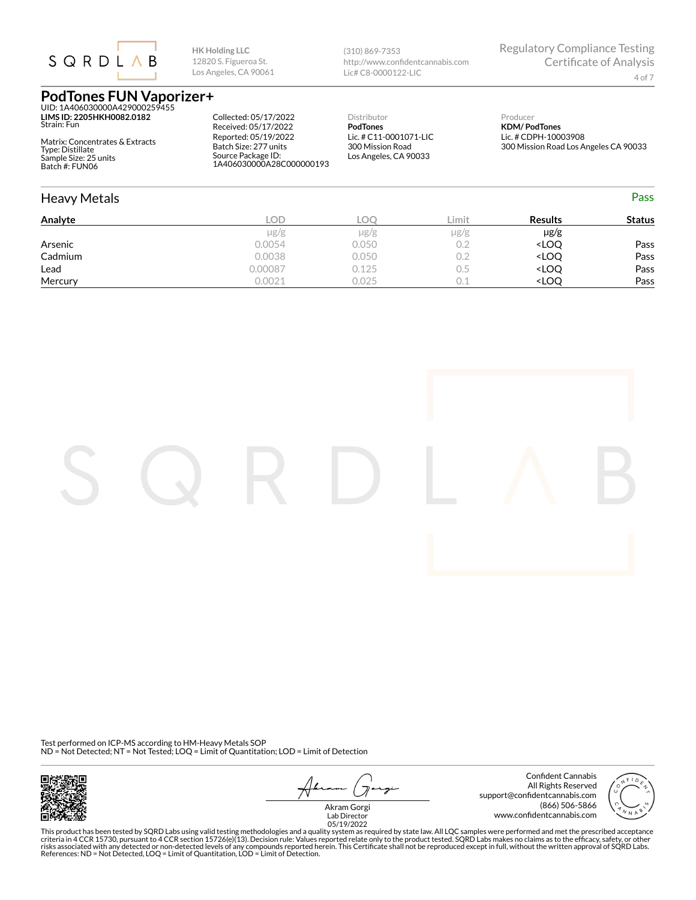

**LIMS ID: 2205HKH0082.0182** Strain: Fun

Matrix: Concentrates & Extracts Type: Distillate Sample Size: 25 units Batch #: FUN06

Collected: 05/17/2022 Received: 05/17/2022 Reported: 05/19/2022 Batch Size: 277 units Source Package ID: 1A406030000A28C000000193

**HK Holding LLC** 12820 S. Figueroa St. Los Angeles, CA 90061

> Distributor **PodTones** Lic. # C11-0001071-LIC 300 Mission Road

Los Angeles, CA 90033

http://www.confidentcannabis.com

(310) 869-7353

Lic# C8-0000122-LIC

Producer **KDM/ PodTones** Lic. # CDPH-10003908 300 Mission Road Los Angeles CA 90033

Regulatory Compliance Testing

Certificate of Analysis

| <b>Heavy Metals</b> |           |           |           |                                  | <b>Pass</b>   |
|---------------------|-----------|-----------|-----------|----------------------------------|---------------|
| Analyte             | LOD       | LOO       | Limit     | <b>Results</b>                   | <b>Status</b> |
|                     | $\mu$ g/g | $\mu$ g/g | $\mu$ g/g | µg/g                             |               |
| Arsenic             | 0.0054    | 0.050     | 0.2       | <loq< td=""><td>Pass</td></loq<> | Pass          |
| Cadmium             | 0.0038    | 0.050     | 0.2       | <loq< td=""><td>Pass</td></loq<> | Pass          |
| Lead                | 0.00087   | 0.125     | 0.5       | <loq< td=""><td>Pass</td></loq<> | Pass          |
| Mercury             | 0.0021    | 0.025     | 0.1       | <loq< td=""><td>Pass</td></loq<> | Pass          |

Test performed on ICP-MS according to HM-Heavy Metals SOP ND = Not Detected; NT = Not Tested; LOQ = Limit of Quantitation; LOD = Limit of Detection



 $\overline{\mathcal{X}}$ ァ

Confident Cannabis All Rights Reserved support@confidentcannabis.com (866) 506-5866



www.con×dentcannabis.com Lab Director 05/19/2022Akram Gorgi

This product has been tested by SQRD Labs using valid testing methodologies and a quality system as required by state law. All LQC samples were performed and met the prescribed acceptance<br>riteria in 4 CCR 15730, pursuant t

4 of 7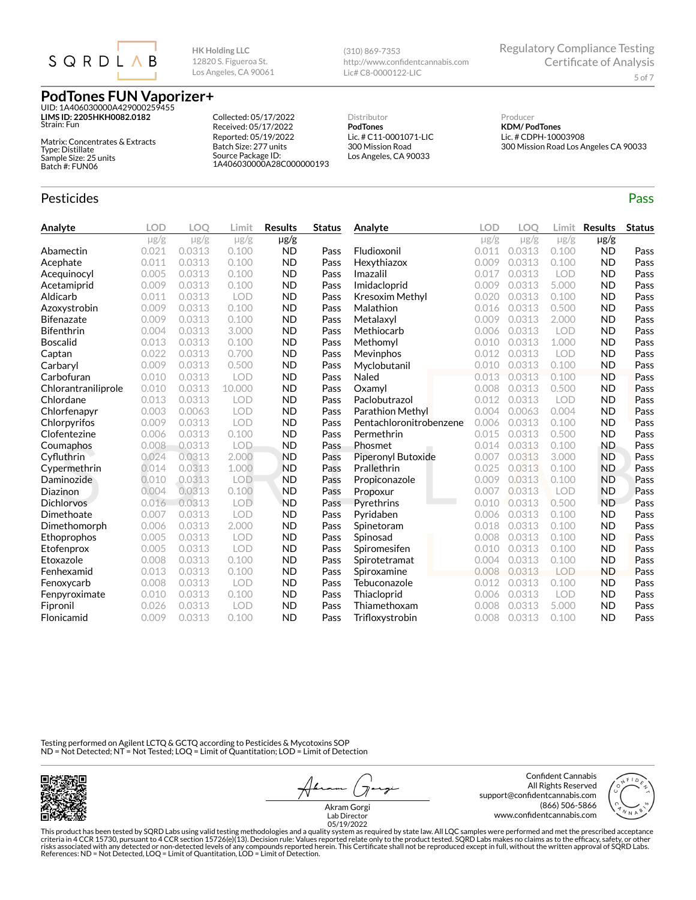

UID: 1A406030000A429000259455 **LIMS ID: 2205HKH0082.0182** Strain: Fun

Matrix: Concentrates & Extracts Type: Distillate Sample Size: 25 units Batch #: FUN06

#### Pesticides **Passage Contract Contract Contract Contract Contract Contract Contract Contract Contract Contract Contract Contract Contract Contract Contract Contract Contract Contract Contract Contract Contract Contract Cont**

Collected: 05/17/2022 Received: 05/17/2022 Reported: 05/19/2022 Batch Size: 277 units

1A406030000A28C000000193

Source Package ID:

**HK Holding LLC** 12820 S. Figueroa St. Los Angeles, CA 90061

> Distributor **PodTones**

Lic. # C11-0001071-LIC 300 Mission Road Los Angeles, CA 90033

http://www.confidentcannabis.com

(310) 869-7353

Lic# C8-0000122-LIC

Regulatory Compliance Testing Certificate of Analysis 5 of 7

Producer **KDM/ PodTones** Lic. # CDPH-10003908 300 Mission Road Los Angeles CA 90033

| Analyte             | <b>LOD</b> | LOO       | Limit      | <b>Results</b> | <b>Status</b> | Analyte                 | <b>LOD</b> | LOO       | Limit      | <b>Results</b> | <b>Status</b> |
|---------------------|------------|-----------|------------|----------------|---------------|-------------------------|------------|-----------|------------|----------------|---------------|
|                     | $\mu$ g/g  | $\mu$ g/g | $\mu$ g/g  | $\mu$ g/g      |               |                         | $\mu$ g/g  | $\mu$ g/g | $\mu$ g/g  | $\mu$ g/g      |               |
| Abamectin           | 0.021      | 0.0313    | 0.100      | <b>ND</b>      | Pass          | Fludioxonil             | 0.011      | 0.0313    | 0.100      | <b>ND</b>      | Pass          |
| Acephate            | 0.011      | 0.0313    | 0.100      | <b>ND</b>      | Pass          | Hexythiazox             | 0.009      | 0.0313    | 0.100      | <b>ND</b>      | Pass          |
| Acequinocyl         | 0.005      | 0.0313    | 0.100      | <b>ND</b>      | Pass          | Imazalil                | 0.017      | 0.0313    | <b>LOD</b> | <b>ND</b>      | Pass          |
| Acetamiprid         | 0.009      | 0.0313    | 0.100      | <b>ND</b>      | Pass          | Imidacloprid            | 0.009      | 0.0313    | 5.000      | <b>ND</b>      | Pass          |
| Aldicarb            | 0.011      | 0.0313    | LOD        | <b>ND</b>      | Pass          | Kresoxim Methyl         | 0.020      | 0.0313    | 0.100      | <b>ND</b>      | Pass          |
| Azoxystrobin        | 0.009      | 0.0313    | 0.100      | <b>ND</b>      | Pass          | Malathion               | 0.016      | 0.0313    | 0.500      | <b>ND</b>      | Pass          |
| <b>Bifenazate</b>   | 0.009      | 0.0313    | 0.100      | <b>ND</b>      | Pass          | Metalaxyl               | 0.009      | 0.0313    | 2.000      | <b>ND</b>      | Pass          |
| <b>Bifenthrin</b>   | 0.004      | 0.0313    | 3.000      | <b>ND</b>      | Pass          | Methiocarb              | 0.006      | 0.0313    | <b>LOD</b> | <b>ND</b>      | Pass          |
| <b>Boscalid</b>     | 0.013      | 0.0313    | 0.100      | <b>ND</b>      | Pass          | Methomyl                | 0.010      | 0.0313    | 1.000      | <b>ND</b>      | Pass          |
| Captan              | 0.022      | 0.0313    | 0.700      | <b>ND</b>      | Pass          | <b>Mevinphos</b>        | 0.012      | 0.0313    | LOD        | <b>ND</b>      | Pass          |
| Carbaryl            | 0.009      | 0.0313    | 0.500      | <b>ND</b>      | Pass          | Myclobutanil            | 0.010      | 0.0313    | 0.100      | <b>ND</b>      | Pass          |
| Carbofuran          | 0.010      | 0.0313    | <b>LOD</b> | <b>ND</b>      | Pass          | Naled                   | 0.013      | 0.0313    | 0.100      | <b>ND</b>      | Pass          |
| Chlorantraniliprole | 0.010      | 0.0313    | 10.000     | <b>ND</b>      | Pass          | Oxamyl                  | 0.008      | 0.0313    | 0.500      | <b>ND</b>      | Pass          |
| Chlordane           | 0.013      | 0.0313    | LOD        | <b>ND</b>      | Pass          | Paclobutrazol           | 0.012      | 0.0313    | LOD        | <b>ND</b>      | Pass          |
| Chlorfenapyr        | 0.003      | 0.0063    | LOD        | <b>ND</b>      | Pass          | Parathion Methyl        | 0.004      | 0.0063    | 0.004      | <b>ND</b>      | Pass          |
| Chlorpyrifos        | 0.009      | 0.0313    | LOD        | <b>ND</b>      | Pass          | Pentachloronitrobenzene | 0.006      | 0.0313    | 0.100      | <b>ND</b>      | Pass          |
| Clofentezine        | 0.006      | 0.0313    | 0.100      | <b>ND</b>      | Pass          | Permethrin              | 0.015      | 0.0313    | 0.500      | <b>ND</b>      | Pass          |
| Coumaphos           | 0.008      | 0.0313    | LOD        | <b>ND</b>      | Pass          | Phosmet                 | 0.014      | 0.0313    | 0.100      | <b>ND</b>      | Pass          |
| Cyfluthrin          | 0.024      | 0.0313    | 2.000      | <b>ND</b>      | Pass          | Piperonyl Butoxide      | 0.007      | 0.0313    | 3.000      | <b>ND</b>      | Pass          |
| Cypermethrin        | 0.014      | 0.0313    | 1.000      | <b>ND</b>      | Pass          | Prallethrin             | 0.025      | 0.0313    | 0.100      | <b>ND</b>      | Pass          |
| Daminozide          | 0.010      | 0.0313    | <b>LOD</b> | <b>ND</b>      | Pass          | Propiconazole           | 0.009      | 0.0313    | 0.100      | <b>ND</b>      | Pass          |
| Diazinon            | 0.004      | 0.0313    | 0.100      | <b>ND</b>      | Pass          | Propoxur                | 0.007      | 0.0313    | LOD        | <b>ND</b>      | Pass          |
| <b>Dichlorvos</b>   | 0.016      | 0.0313    | LOD        | <b>ND</b>      | Pass          | Pyrethrins              | 0.010      | 0.0313    | 0.500      | <b>ND</b>      | Pass          |
| Dimethoate          | 0.007      | 0.0313    | <b>LOD</b> | <b>ND</b>      | Pass          | Pyridaben               | 0.006      | 0.0313    | 0.100      | <b>ND</b>      | Pass          |
| Dimethomorph        | 0.006      | 0.0313    | 2.000      | <b>ND</b>      | Pass          | Spinetoram              | 0.018      | 0.0313    | 0.100      | <b>ND</b>      | Pass          |
| Ethoprophos         | 0.005      | 0.0313    | <b>LOD</b> | <b>ND</b>      | Pass          | Spinosad                | 0.008      | 0.0313    | 0.100      | <b>ND</b>      | Pass          |
| Etofenprox          | 0.005      | 0.0313    | <b>LOD</b> | <b>ND</b>      | Pass          | Spiromesifen            | 0.010      | 0.0313    | 0.100      | <b>ND</b>      | Pass          |
| Etoxazole           | 0.008      | 0.0313    | 0.100      | <b>ND</b>      | Pass          | Spirotetramat           | 0.004      | 0.0313    | 0.100      | <b>ND</b>      | Pass          |
| Fenhexamid          | 0.013      | 0.0313    | 0.100      | <b>ND</b>      | Pass          | Spiroxamine             | 0.008      | 0.0313    | LOD        | <b>ND</b>      | Pass          |
| Fenoxycarb          | 0.008      | 0.0313    | LOD        | <b>ND</b>      | Pass          | Tebuconazole            | 0.012      | 0.0313    | 0.100      | <b>ND</b>      | Pass          |
| Fenpyroximate       | 0.010      | 0.0313    | 0.100      | <b>ND</b>      | Pass          | Thiacloprid             | 0.006      | 0.0313    | <b>LOD</b> | <b>ND</b>      | Pass          |
| Fipronil            | 0.026      | 0.0313    | <b>LOD</b> | <b>ND</b>      | Pass          | Thiamethoxam            | 0.008      | 0.0313    | 5.000      | <b>ND</b>      | Pass          |
| Flonicamid          | 0.009      | 0.0313    | 0.100      | <b>ND</b>      | Pass          | Trifloxystrobin         | 0.008      | 0.0313    | 0.100      | <b>ND</b>      | Pass          |

Testing performed on Agilent LCTQ & GCTQ according to Pesticides & Mycotoxins SOP ND = Not Detected; NT = Not Tested; LOQ = Limit of Quantitation; LOD = Limit of Detection



 $\overline{\mathcal{X}}$ っ

Confident Cannabis All Rights Reserved support@confidentcannabis.com (866) 506-5866 www.confidentcannabis.com



Akram Gorgi Lab Director 05/19/2022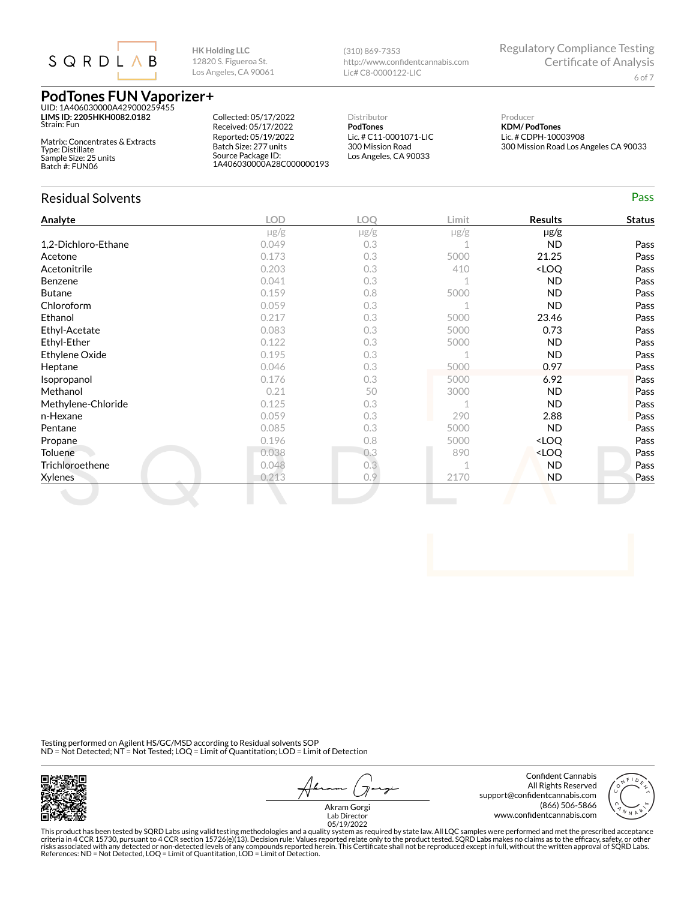

**LIMS ID: 2205HKH0082.0182** Strain: Fun

Matrix: Concentrates & Extracts Type: Distillate Sample Size: 25 units Batch #: FUN06

Residual Solvents Pass

Collected: 05/17/2022 Received: 05/17/2022 Reported: 05/19/2022 Batch Size: 277 units Source Package ID: 1A406030000A28C000000193

**HK Holding LLC** 12820 S. Figueroa St. Los Angeles, CA 90061

> Distributor **PodTones** Lic. # C11-0001071-LIC 300 Mission Road Los Angeles, CA 90033

http://www.confidentcannabis.com

(310) 869-7353

Lic# C8-0000122-LIC

Producer **KDM/ PodTones** Lic. # CDPH-10003908

Regulatory Compliance Testing

| Analyte             | <b>LOD</b> | LOQ       | Limit     | <b>Results</b>                   | <b>Status</b> |
|---------------------|------------|-----------|-----------|----------------------------------|---------------|
|                     | $\mu$ g/g  | $\mu$ g/g | $\mu$ g/g | $\mu$ g/g                        |               |
| 1,2-Dichloro-Ethane | 0.049      | 0.3       |           | <b>ND</b>                        | Pass          |
| Acetone             | 0.173      | 0.3       | 5000      | 21.25                            | Pass          |
| Acetonitrile        | 0.203      | 0.3       | 410       | <loq< td=""><td>Pass</td></loq<> | Pass          |
| Benzene             | 0.041      | 0.3       |           | <b>ND</b>                        | Pass          |
| <b>Butane</b>       | 0.159      | 0.8       | 5000      | <b>ND</b>                        | Pass          |
| Chloroform          | 0.059      | 0.3       |           | <b>ND</b>                        | Pass          |
| Ethanol             | 0.217      | 0.3       | 5000      | 23.46                            | Pass          |
| Ethyl-Acetate       | 0.083      | 0.3       | 5000      | 0.73                             | Pass          |
| Ethyl-Ether         | 0.122      | 0.3       | 5000      | <b>ND</b>                        | Pass          |
| Ethylene Oxide      | 0.195      | 0.3       |           | <b>ND</b>                        | Pass          |
| Heptane             | 0.046      | 0.3       | 5000      | 0.97                             | Pass          |
| Isopropanol         | 0.176      | 0.3       | 5000      | 6.92                             | Pass          |
| Methanol            | 0.21       | 50        | 3000      | <b>ND</b>                        | Pass          |
| Methylene-Chloride  | 0.125      | 0.3       |           | <b>ND</b>                        | Pass          |
| n-Hexane            | 0.059      | 0.3       | 290       | 2.88                             | Pass          |
| Pentane             | 0.085      | 0.3       | 5000      | <b>ND</b>                        | Pass          |
| Propane             | 0.196      | 0.8       | 5000      | <loq< td=""><td>Pass</td></loq<> | Pass          |
| Toluene             | 0.038      | 0.3       | 890       | <loq< td=""><td>Pass</td></loq<> | Pass          |
| Trichloroethene     | 0.048      | 0.3       | 1         | <b>ND</b>                        | Pass          |
| <b>Xylenes</b>      | 0.213      | 0.9       | 2170      | <b>ND</b>                        | Pass          |

Testing performed on Agilent HS/GC/MSD according to Residual solvents SOP ND = Not Detected; NT = Not Tested; LOQ = Limit of Quantitation; LOD = Limit of Detection



 $\overline{\mathcal{X}}$ っ

Confident Cannabis All Rights Reserved support@confidentcannabis.com (866) 506-5866 www.con×dentcannabis.com Lab Director 05/19/2022



Akram Gorgi